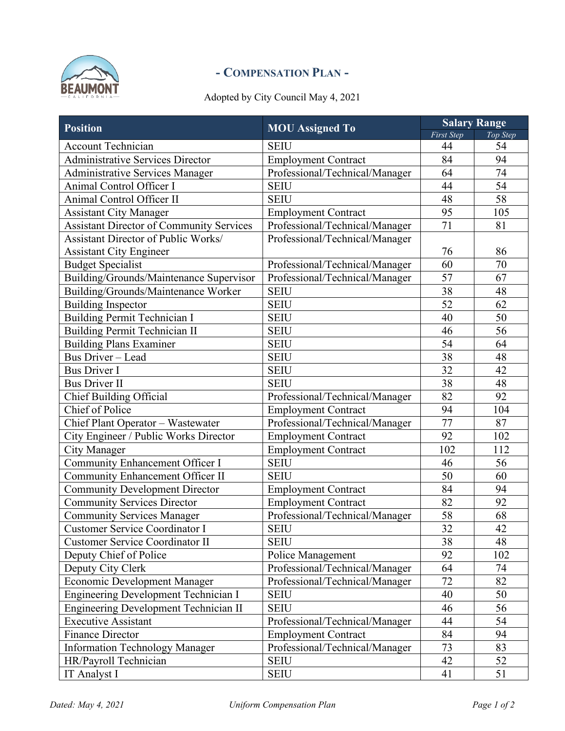

## **- COMPENSATION PLAN -**

## Adopted by City Council May 4, 2021

| <b>Position</b>                                 | <b>MOU</b> Assigned To         | <b>Salary Range</b> |          |  |  |  |  |
|-------------------------------------------------|--------------------------------|---------------------|----------|--|--|--|--|
|                                                 |                                | <b>First Step</b>   | Top Step |  |  |  |  |
| <b>Account Technician</b>                       | <b>SEIU</b>                    | 44                  | 54       |  |  |  |  |
| <b>Administrative Services Director</b>         | <b>Employment Contract</b>     | 84                  | 94       |  |  |  |  |
| Administrative Services Manager                 | Professional/Technical/Manager | 64                  | 74       |  |  |  |  |
| Animal Control Officer I                        | <b>SEIU</b>                    | 44                  | 54       |  |  |  |  |
| Animal Control Officer II                       | <b>SEIU</b>                    | 48                  | 58       |  |  |  |  |
| <b>Assistant City Manager</b>                   | <b>Employment Contract</b>     | 95                  | 105      |  |  |  |  |
| <b>Assistant Director of Community Services</b> | Professional/Technical/Manager | $\overline{71}$     | 81       |  |  |  |  |
| <b>Assistant Director of Public Works/</b>      | Professional/Technical/Manager |                     |          |  |  |  |  |
| <b>Assistant City Engineer</b>                  |                                | 76                  | 86       |  |  |  |  |
| <b>Budget Specialist</b>                        | Professional/Technical/Manager | 60                  | 70       |  |  |  |  |
| Building/Grounds/Maintenance Supervisor         | Professional/Technical/Manager | 57                  | 67       |  |  |  |  |
| Building/Grounds/Maintenance Worker             | <b>SEIU</b>                    | 38                  | 48       |  |  |  |  |
| <b>Building Inspector</b>                       | <b>SEIU</b>                    | 52                  | 62       |  |  |  |  |
| <b>Building Permit Technician I</b>             | <b>SEIU</b>                    | 40                  | 50       |  |  |  |  |
| Building Permit Technician II                   | <b>SEIU</b>                    | 46                  | 56       |  |  |  |  |
| <b>Building Plans Examiner</b>                  | <b>SEIU</b>                    | 54                  | 64       |  |  |  |  |
| <b>Bus Driver - Lead</b>                        | <b>SEIU</b>                    | 38                  | 48       |  |  |  |  |
| <b>Bus Driver I</b>                             | <b>SEIU</b>                    | 32                  | 42       |  |  |  |  |
| <b>Bus Driver II</b>                            | <b>SEIU</b>                    | 38                  | 48       |  |  |  |  |
| <b>Chief Building Official</b>                  | Professional/Technical/Manager | 82                  | 92       |  |  |  |  |
| Chief of Police                                 | <b>Employment Contract</b>     | 94                  | 104      |  |  |  |  |
| Chief Plant Operator - Wastewater               | Professional/Technical/Manager | $\overline{77}$     | 87       |  |  |  |  |
| City Engineer / Public Works Director           | <b>Employment Contract</b>     | 92                  | 102      |  |  |  |  |
| <b>City Manager</b>                             | <b>Employment Contract</b>     | 102                 | 112      |  |  |  |  |
| Community Enhancement Officer I                 | <b>SEIU</b>                    | 46                  | 56       |  |  |  |  |
| <b>Community Enhancement Officer II</b>         | <b>SEIU</b>                    | 50                  | 60       |  |  |  |  |
| <b>Community Development Director</b>           | <b>Employment Contract</b>     | 84                  | 94       |  |  |  |  |
| <b>Community Services Director</b>              | <b>Employment Contract</b>     | 82                  | 92       |  |  |  |  |
| <b>Community Services Manager</b>               | Professional/Technical/Manager | 58                  | 68       |  |  |  |  |
| <b>Customer Service Coordinator I</b>           | <b>SEIU</b>                    | 32                  | 42       |  |  |  |  |
| <b>Customer Service Coordinator II</b>          | <b>SEIU</b>                    | 38                  | 48       |  |  |  |  |
| Deputy Chief of Police                          | Police Management              | 92                  | 102      |  |  |  |  |
| Deputy City Clerk                               | Professional/Technical/Manager | 64                  | 74       |  |  |  |  |
| <b>Economic Development Manager</b>             | Professional/Technical/Manager | 72                  | 82       |  |  |  |  |
| Engineering Development Technician I            | <b>SEIU</b>                    | 40                  | 50       |  |  |  |  |
| <b>Engineering Development Technician II</b>    | <b>SEIU</b>                    | 46                  | 56       |  |  |  |  |
| <b>Executive Assistant</b>                      | Professional/Technical/Manager | 44                  | 54       |  |  |  |  |
| <b>Finance Director</b>                         | <b>Employment Contract</b>     | 84                  | 94       |  |  |  |  |
| <b>Information Technology Manager</b>           | Professional/Technical/Manager | 73                  | 83       |  |  |  |  |
| HR/Payroll Technician                           | <b>SEIU</b>                    | 42                  | 52       |  |  |  |  |
| IT Analyst I                                    | <b>SEIU</b>                    | 41                  | 51       |  |  |  |  |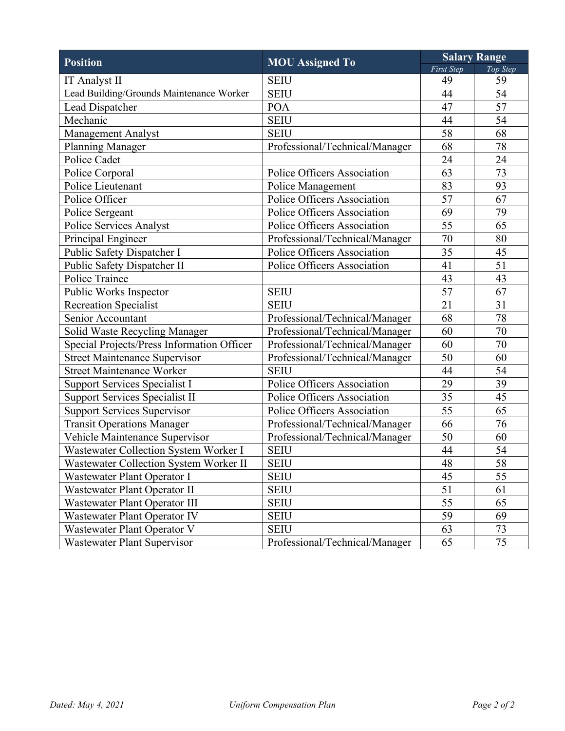| <b>Position</b>                            | <b>MOU</b> Assigned To         | <b>Salary Range</b> |          |  |  |  |  |
|--------------------------------------------|--------------------------------|---------------------|----------|--|--|--|--|
|                                            |                                | <b>First Step</b>   | Top Step |  |  |  |  |
| <b>IT Analyst II</b>                       | <b>SEIU</b>                    | 49                  | 59       |  |  |  |  |
| Lead Building/Grounds Maintenance Worker   | <b>SEIU</b>                    | 44                  | 54       |  |  |  |  |
| Lead Dispatcher                            | <b>POA</b>                     | 47                  | 57       |  |  |  |  |
| Mechanic                                   | <b>SEIU</b>                    | 44                  | 54       |  |  |  |  |
| Management Analyst                         | <b>SEIU</b>                    | 58                  | 68       |  |  |  |  |
| <b>Planning Manager</b>                    | Professional/Technical/Manager | 68                  | 78       |  |  |  |  |
| Police Cadet                               |                                | 24                  | 24       |  |  |  |  |
| Police Corporal                            | Police Officers Association    | 63                  | 73       |  |  |  |  |
| Police Lieutenant                          | Police Management              | 83                  | 93       |  |  |  |  |
| Police Officer                             | Police Officers Association    | 57                  | 67       |  |  |  |  |
| Police Sergeant                            | Police Officers Association    | 69                  | 79       |  |  |  |  |
| Police Services Analyst                    | Police Officers Association    | 55                  | 65       |  |  |  |  |
| Principal Engineer                         | Professional/Technical/Manager | 70                  | 80       |  |  |  |  |
| Public Safety Dispatcher I                 | Police Officers Association    | 35                  | 45       |  |  |  |  |
| Public Safety Dispatcher II                | Police Officers Association    | 41                  | 51       |  |  |  |  |
| Police Trainee                             |                                | 43                  | 43       |  |  |  |  |
| Public Works Inspector                     | <b>SEIU</b>                    | 57                  | 67       |  |  |  |  |
| <b>Recreation Specialist</b>               | <b>SEIU</b>                    | 21                  | 31       |  |  |  |  |
| Senior Accountant                          | Professional/Technical/Manager | 68                  | 78       |  |  |  |  |
| Solid Waste Recycling Manager              | Professional/Technical/Manager | 60                  | 70       |  |  |  |  |
| Special Projects/Press Information Officer | Professional/Technical/Manager | 60                  | 70       |  |  |  |  |
| <b>Street Maintenance Supervisor</b>       | Professional/Technical/Manager | 50                  | 60       |  |  |  |  |
| <b>Street Maintenance Worker</b>           | <b>SEIU</b>                    | 44                  | 54       |  |  |  |  |
| Support Services Specialist I              | Police Officers Association    | 29                  | 39       |  |  |  |  |
| Support Services Specialist II             | Police Officers Association    | 35                  | 45       |  |  |  |  |
| <b>Support Services Supervisor</b>         | Police Officers Association    | 55                  | 65       |  |  |  |  |
| <b>Transit Operations Manager</b>          | Professional/Technical/Manager | 66                  | 76       |  |  |  |  |
| Vehicle Maintenance Supervisor             | Professional/Technical/Manager | 50                  | 60       |  |  |  |  |
| Wastewater Collection System Worker I      | <b>SEIU</b>                    | 44                  | 54       |  |  |  |  |
| Wastewater Collection System Worker II     | <b>SEIU</b>                    | 48                  | 58       |  |  |  |  |
| Wastewater Plant Operator I                | <b>SEIU</b>                    | 45                  | 55       |  |  |  |  |
| Wastewater Plant Operator II               | <b>SEIU</b>                    | 51                  | 61       |  |  |  |  |
| Wastewater Plant Operator III              | <b>SEIU</b>                    | 55                  | 65       |  |  |  |  |
| Wastewater Plant Operator IV               | <b>SEIU</b>                    | 59                  | 69       |  |  |  |  |
| Wastewater Plant Operator V                | <b>SEIU</b>                    | 63                  | 73       |  |  |  |  |
| <b>Wastewater Plant Supervisor</b>         | Professional/Technical/Manager | 65                  | 75       |  |  |  |  |